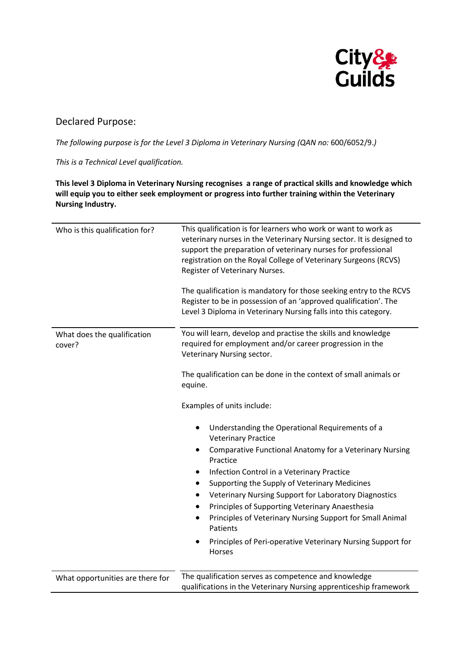

## Declared Purpose:

*The following purpose is for the Level 3 Diploma in Veterinary Nursing (QAN no:* 600/6052/9.*)*

*This is a Technical Level qualification.* 

**This level 3 Diploma in Veterinary Nursing recognises a range of practical skills and knowledge which will equip you to either seek employment or progress into further training within the Veterinary Nursing Industry.**

| Who is this qualification for?        | This qualification is for learners who work or want to work as<br>veterinary nurses in the Veterinary Nursing sector. It is designed to<br>support the preparation of veterinary nurses for professional<br>registration on the Royal College of Veterinary Surgeons (RCVS)<br>Register of Veterinary Nurses.<br>The qualification is mandatory for those seeking entry to the RCVS<br>Register to be in possession of an 'approved qualification'. The<br>Level 3 Diploma in Veterinary Nursing falls into this category.                                                                                                                                                                                                                                                                                                                                              |
|---------------------------------------|-------------------------------------------------------------------------------------------------------------------------------------------------------------------------------------------------------------------------------------------------------------------------------------------------------------------------------------------------------------------------------------------------------------------------------------------------------------------------------------------------------------------------------------------------------------------------------------------------------------------------------------------------------------------------------------------------------------------------------------------------------------------------------------------------------------------------------------------------------------------------|
| What does the qualification<br>cover? | You will learn, develop and practise the skills and knowledge<br>required for employment and/or career progression in the<br>Veterinary Nursing sector.<br>The qualification can be done in the context of small animals or<br>equine.<br>Examples of units include:<br>Understanding the Operational Requirements of a<br>$\bullet$<br><b>Veterinary Practice</b><br>Comparative Functional Anatomy for a Veterinary Nursing<br>$\bullet$<br>Practice<br>Infection Control in a Veterinary Practice<br>$\bullet$<br>Supporting the Supply of Veterinary Medicines<br>Veterinary Nursing Support for Laboratory Diagnostics<br>$\bullet$<br>Principles of Supporting Veterinary Anaesthesia<br>$\bullet$<br>Principles of Veterinary Nursing Support for Small Animal<br>$\bullet$<br>Patients<br>Principles of Peri-operative Veterinary Nursing Support for<br>Horses |
| What opportunities are there for      | The qualification serves as competence and knowledge<br>qualifications in the Veterinary Nursing apprenticeship framework                                                                                                                                                                                                                                                                                                                                                                                                                                                                                                                                                                                                                                                                                                                                               |